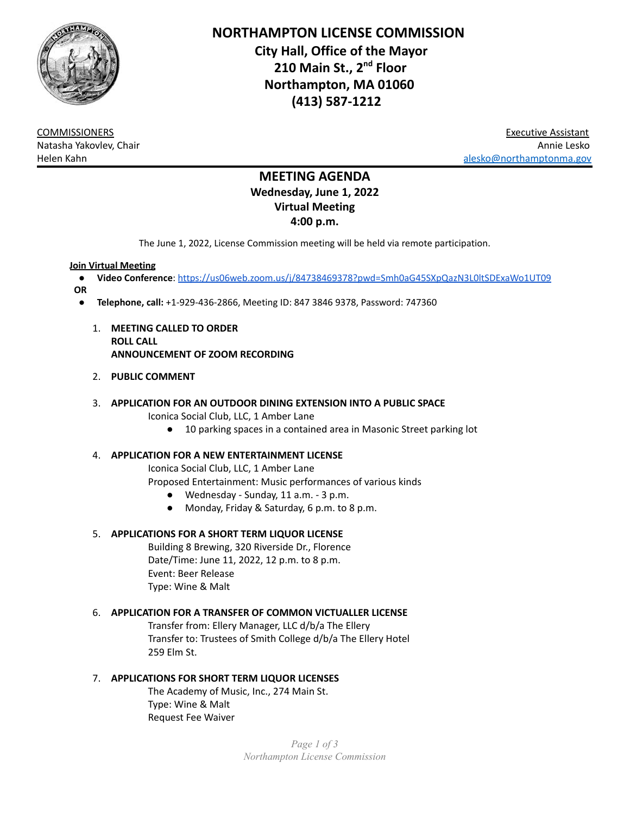

**NORTHAMPTON LICENSE COMMISSION City Hall, Office of the Mayor 210 Main St., 2 nd Floor Northampton, MA 01060 (413) 587-1212**

COMMISSIONERS Executive Assistant Natasha Yakovlev, Chair Annie Lesko Helen Kahn [alesko@northamptonma.gov](mailto:alesko@northamptonma.gov)

# **MEETING AGENDA Wednesday, June 1, 2022 Virtual Meeting 4:00 p.m.**

The June 1, 2022, License Commission meeting will be held via remote participation.

### **Join Virtual Meeting**

- **Video Conference**: <https://us06web.zoom.us/j/84738469378?pwd=Smh0aG45SXpQazN3L0ltSDExaWo1UT09>
- **OR**
	- **Telephone, call:** +1-929-436-2866, Meeting ID: 847 3846 9378, Password: 747360
		- 1. **MEETING CALLED TO ORDER ROLL CALL ANNOUNCEMENT OF ZOOM RECORDING**
		- 2. **PUBLIC COMMENT**
		- 3. **APPLICATION FOR AN OUTDOOR DINING EXTENSION INTO A PUBLIC SPACE**

Iconica Social Club, LLC, 1 Amber Lane

● 10 parking spaces in a contained area in Masonic Street parking lot

# 4. **APPLICATION FOR A NEW ENTERTAINMENT LICENSE**

Iconica Social Club, LLC, 1 Amber Lane Proposed Entertainment: Music performances of various kinds

- Wednesday Sunday, 11 a.m. 3 p.m.
- Monday, Friday & Saturday, 6 p.m. to 8 p.m.

# 5. **APPLICATIONS FOR A SHORT TERM LIQUOR LICENSE**

Building 8 Brewing, 320 Riverside Dr., Florence Date/Time: June 11, 2022, 12 p.m. to 8 p.m. Event: Beer Release Type: Wine & Malt

# 6. **APPLICATION FOR A TRANSFER OF COMMON VICTUALLER LICENSE**

Transfer from: Ellery Manager, LLC d/b/a The Ellery Transfer to: Trustees of Smith College d/b/a The Ellery Hotel 259 Elm St.

# 7. **APPLICATIONS FOR SHORT TERM LIQUOR LICENSES**

The Academy of Music, Inc., 274 Main St. Type: Wine & Malt Request Fee Waiver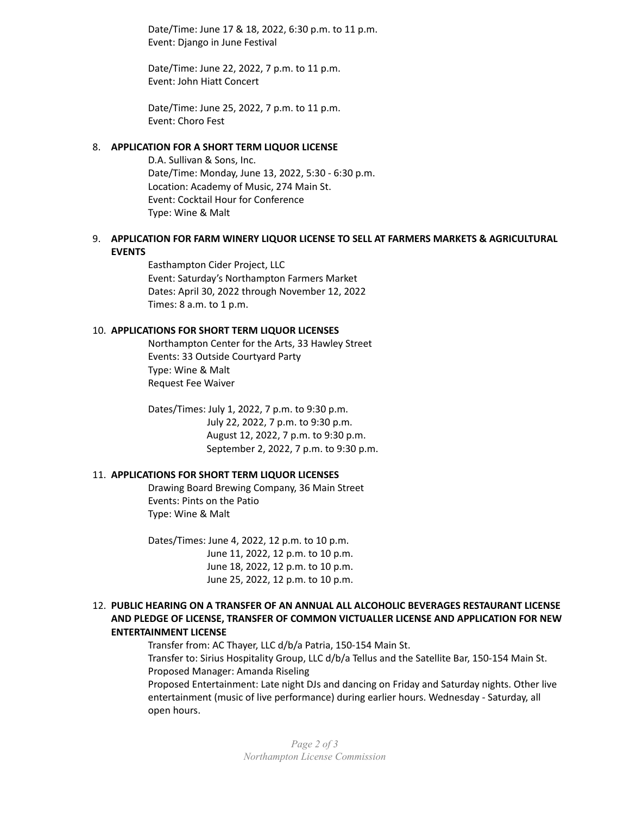Date/Time: June 17 & 18, 2022, 6:30 p.m. to 11 p.m. Event: Django in June Festival

Date/Time: June 22, 2022, 7 p.m. to 11 p.m. Event: John Hiatt Concert

Date/Time: June 25, 2022, 7 p.m. to 11 p.m. Event: Choro Fest

### 8. **APPLICATION FOR A SHORT TERM LIQUOR LICENSE**

D.A. Sullivan & Sons, Inc. Date/Time: Monday, June 13, 2022, 5:30 - 6:30 p.m. Location: Academy of Music, 274 Main St. Event: Cocktail Hour for Conference Type: Wine & Malt

### 9. **APPLICATION FOR FARM WINERY LIQUOR LICENSE TO SELL AT FARMERS MARKETS & AGRICULTURAL EVENTS**

Easthampton Cider Project, LLC Event: Saturday's Northampton Farmers Market Dates: April 30, 2022 through November 12, 2022 Times: 8 a.m. to 1 p.m.

#### 10. **APPLICATIONS FOR SHORT TERM LIQUOR LICENSES**

Northampton Center for the Arts, 33 Hawley Street Events: 33 Outside Courtyard Party Type: Wine & Malt Request Fee Waiver

Dates/Times: July 1, 2022, 7 p.m. to 9:30 p.m. July 22, 2022, 7 p.m. to 9:30 p.m. August 12, 2022, 7 p.m. to 9:30 p.m. September 2, 2022, 7 p.m. to 9:30 p.m.

### 11. **APPLICATIONS FOR SHORT TERM LIQUOR LICENSES**

Drawing Board Brewing Company, 36 Main Street Events: Pints on the Patio Type: Wine & Malt

Dates/Times: June 4, 2022, 12 p.m. to 10 p.m. June 11, 2022, 12 p.m. to 10 p.m. June 18, 2022, 12 p.m. to 10 p.m. June 25, 2022, 12 p.m. to 10 p.m.

# 12. **PUBLIC HEARING ON A TRANSFER OF AN ANNUAL ALL ALCOHOLIC BEVERAGES RESTAURANT LICENSE AND PLEDGE OF LICENSE, TRANSFER OF COMMON VICTUALLER LICENSE AND APPLICATION FOR NEW ENTERTAINMENT LICENSE**

Transfer from: AC Thayer, LLC d/b/a Patria, 150-154 Main St. Transfer to: Sirius Hospitality Group, LLC d/b/a Tellus and the Satellite Bar, 150-154 Main St. Proposed Manager: Amanda Riseling

Proposed Entertainment: Late night DJs and dancing on Friday and Saturday nights. Other live entertainment (music of live performance) during earlier hours. Wednesday - Saturday, all open hours.